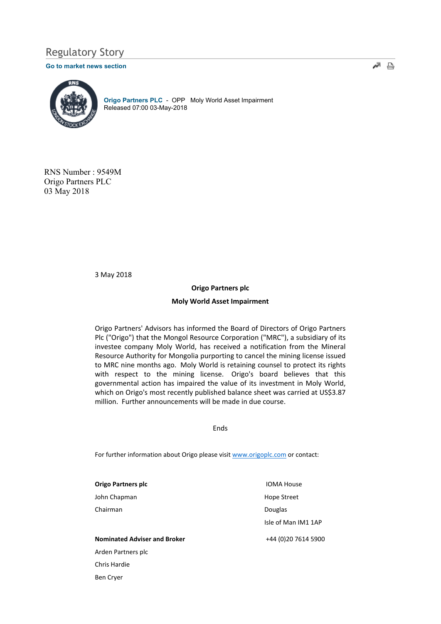# Regulatory Story

#### Go to market news section



Origo Partners PLC - OPP Moly World Asset Impairment Released 07:00 03-May-2018

RNS Number : 9549M Origo Partners PLC 03 May 2018

3 May 2018

## Origo Partners plc

### Moly World Asset Impairment

Origo Partners' Advisors has informed the Board of Directors of Origo Partners Plc ("Origo") that the Mongol Resource Corporation ("MRC"), a subsidiary of its investee company Moly World, has received a notification from the Mineral Resource Authority for Mongolia purporting to cancel the mining license issued to MRC nine months ago. Moly World is retaining counsel to protect its rights with respect to the mining license. Origo's board believes that this governmental action has impaired the value of its investment in Moly World, which on Origo's most recently published balance sheet was carried at US\$3.87 million. Further announcements will be made in due course.

Ends

For further information about Origo please visit www.origoplc.com or contact:

Origo Partners plc John Chapman Chairman

Nominated Adviser and Broker Arden Partners plc Chris Hardie Ben Cryer

 IOMA House Hope Street Douglas Isle of Man IM1 1AP

+44 (0)20 7614 5900

≁ ≞